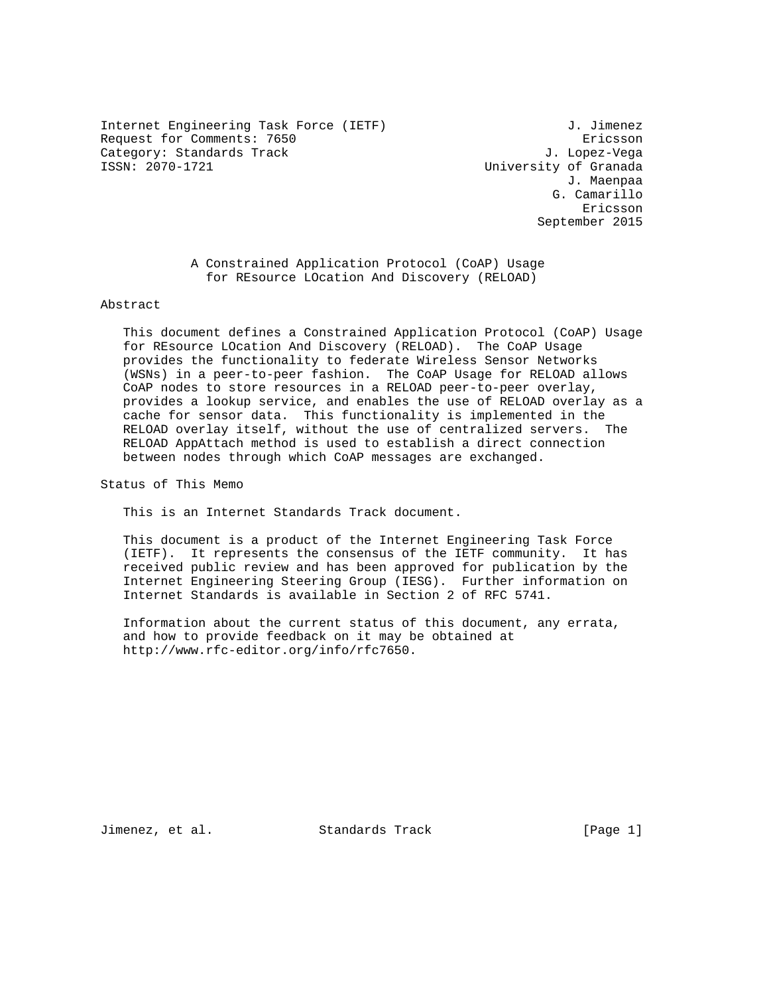Internet Engineering Task Force (IETF) 3. Jimenez Request for Comments: 7650 Ericsson Category: Standards Track J. Lopez-Vega

University of Granada J. Maenpaa G. Camarillo eric and the contract of the contract of the contract of the contract of the contract of the contract of the contract of the contract of the contract of the contract of the contract of the contract of the contract of the c September 2015

> A Constrained Application Protocol (CoAP) Usage for REsource LOcation And Discovery (RELOAD)

### Abstract

 This document defines a Constrained Application Protocol (CoAP) Usage for REsource LOcation And Discovery (RELOAD). The CoAP Usage provides the functionality to federate Wireless Sensor Networks (WSNs) in a peer-to-peer fashion. The CoAP Usage for RELOAD allows CoAP nodes to store resources in a RELOAD peer-to-peer overlay, provides a lookup service, and enables the use of RELOAD overlay as a cache for sensor data. This functionality is implemented in the RELOAD overlay itself, without the use of centralized servers. The RELOAD AppAttach method is used to establish a direct connection between nodes through which CoAP messages are exchanged.

Status of This Memo

This is an Internet Standards Track document.

 This document is a product of the Internet Engineering Task Force (IETF). It represents the consensus of the IETF community. It has received public review and has been approved for publication by the Internet Engineering Steering Group (IESG). Further information on Internet Standards is available in Section 2 of RFC 5741.

 Information about the current status of this document, any errata, and how to provide feedback on it may be obtained at http://www.rfc-editor.org/info/rfc7650.

Jimenez, et al. Standards Track [Page 1]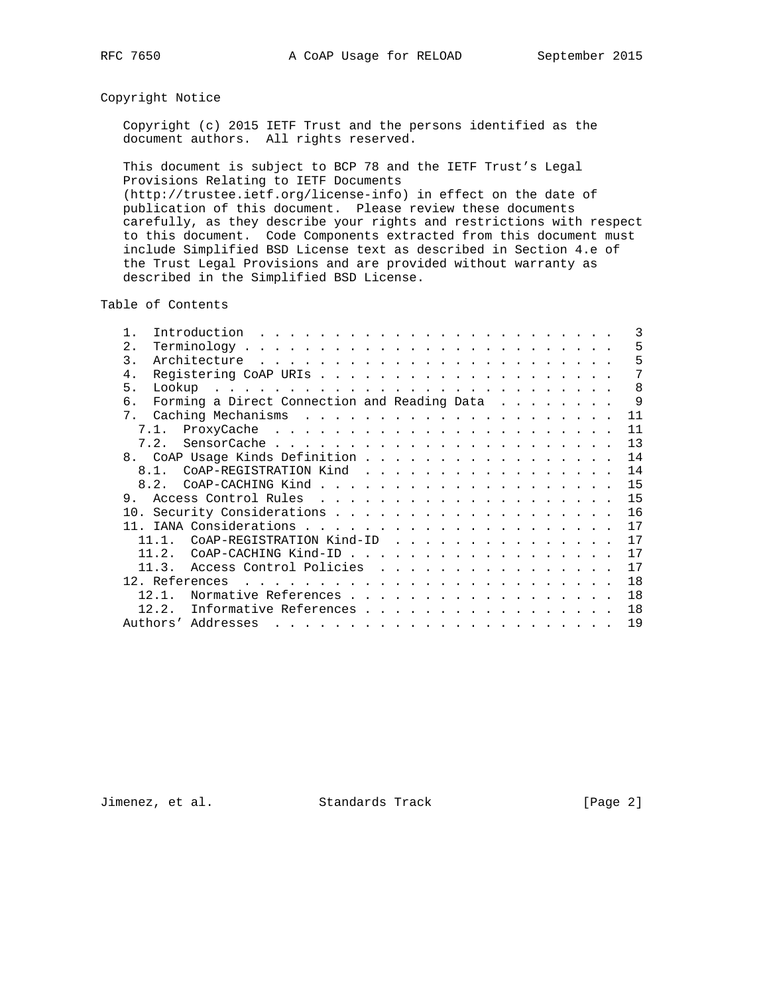# Copyright Notice

 Copyright (c) 2015 IETF Trust and the persons identified as the document authors. All rights reserved.

 This document is subject to BCP 78 and the IETF Trust's Legal Provisions Relating to IETF Documents (http://trustee.ietf.org/license-info) in effect on the date of publication of this document. Please review these documents carefully, as they describe your rights and restrictions with respect to this document. Code Components extracted from this document must include Simplified BSD License text as described in Section 4.e of the Trust Legal Provisions and are provided without warranty as described in the Simplified BSD License.

Table of Contents

|                |      | Introduction                                 |                                                                      |                                                                                         |  |  |  |  |  |  |  |  |  | 3            |
|----------------|------|----------------------------------------------|----------------------------------------------------------------------|-----------------------------------------------------------------------------------------|--|--|--|--|--|--|--|--|--|--------------|
| 2.             |      |                                              |                                                                      |                                                                                         |  |  |  |  |  |  |  |  |  | 5            |
| 3.             |      |                                              |                                                                      |                                                                                         |  |  |  |  |  |  |  |  |  | 5            |
| $4$ .          |      |                                              |                                                                      |                                                                                         |  |  |  |  |  |  |  |  |  | 7            |
| 5 <sub>1</sub> |      |                                              |                                                                      |                                                                                         |  |  |  |  |  |  |  |  |  | 8            |
| б.             |      | Forming a Direct Connection and Reading Data |                                                                      |                                                                                         |  |  |  |  |  |  |  |  |  | $\mathsf{Q}$ |
|                |      |                                              |                                                                      |                                                                                         |  |  |  |  |  |  |  |  |  | 11           |
|                |      |                                              |                                                                      |                                                                                         |  |  |  |  |  |  |  |  |  | 11           |
|                |      |                                              |                                                                      |                                                                                         |  |  |  |  |  |  |  |  |  | 13           |
|                |      | 8. CoAP Usage Kinds Definition               |                                                                      |                                                                                         |  |  |  |  |  |  |  |  |  | 14           |
|                |      | 8.1. COAP-REGISTRATION Kind                  |                                                                      |                                                                                         |  |  |  |  |  |  |  |  |  | 14           |
|                | 8.2. |                                              |                                                                      |                                                                                         |  |  |  |  |  |  |  |  |  | 15           |
| 9.             |      |                                              |                                                                      |                                                                                         |  |  |  |  |  |  |  |  |  | 15           |
|                |      |                                              |                                                                      |                                                                                         |  |  |  |  |  |  |  |  |  | 16           |
|                |      |                                              |                                                                      |                                                                                         |  |  |  |  |  |  |  |  |  | 17           |
|                | 11 1 | COAP-REGISTRATION Kind-ID                    |                                                                      |                                                                                         |  |  |  |  |  |  |  |  |  | 17           |
|                | 11 2 | COAP-CACHING Kind-ID                         |                                                                      |                                                                                         |  |  |  |  |  |  |  |  |  | 17           |
|                |      | 11.3. Access Control Policies                |                                                                      |                                                                                         |  |  |  |  |  |  |  |  |  | 17           |
|                |      | 12. References                               | and the companion of the companion of the companion of the companion |                                                                                         |  |  |  |  |  |  |  |  |  | 18           |
|                | 12.1 | Normative References                         |                                                                      |                                                                                         |  |  |  |  |  |  |  |  |  | 18           |
|                | 12.2 | Informative References                       |                                                                      |                                                                                         |  |  |  |  |  |  |  |  |  | 18           |
|                |      | Authors' Addresses                           |                                                                      | المناطر المناطر المناطر المناطر المناطر المناطر المناطر المناطر المناطر المناطر المناطر |  |  |  |  |  |  |  |  |  | 19           |
|                |      |                                              |                                                                      |                                                                                         |  |  |  |  |  |  |  |  |  |              |

Jimenez, et al. Standards Track [Page 2]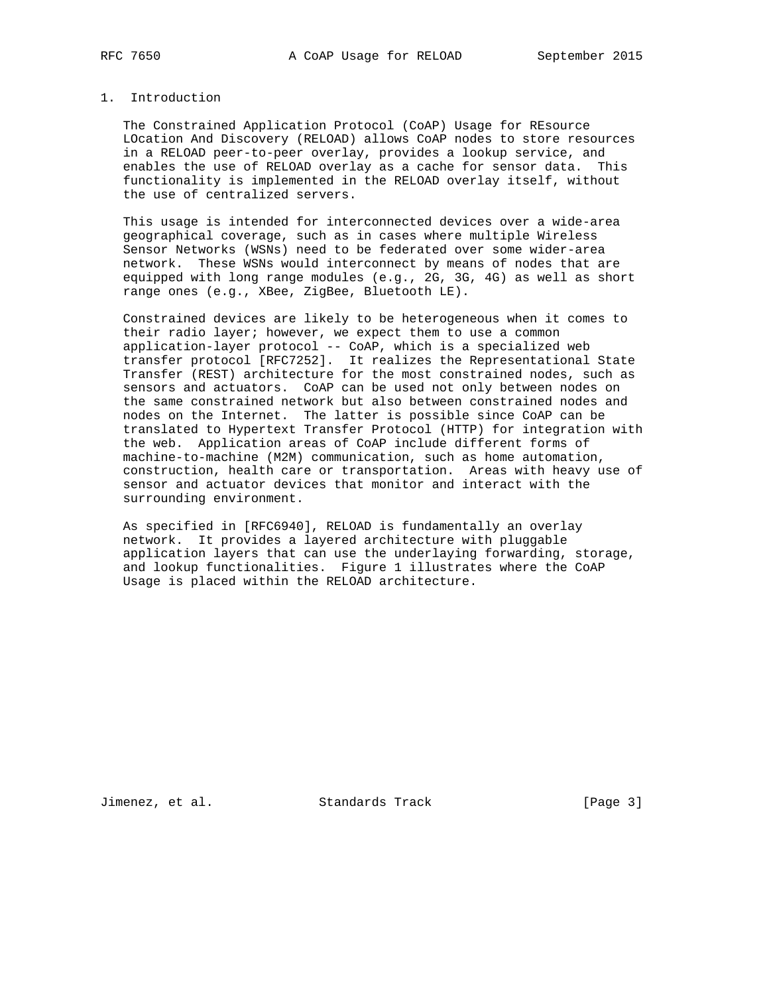# 1. Introduction

 The Constrained Application Protocol (CoAP) Usage for REsource LOcation And Discovery (RELOAD) allows CoAP nodes to store resources in a RELOAD peer-to-peer overlay, provides a lookup service, and enables the use of RELOAD overlay as a cache for sensor data. This functionality is implemented in the RELOAD overlay itself, without the use of centralized servers.

 This usage is intended for interconnected devices over a wide-area geographical coverage, such as in cases where multiple Wireless Sensor Networks (WSNs) need to be federated over some wider-area network. These WSNs would interconnect by means of nodes that are equipped with long range modules (e.g., 2G, 3G, 4G) as well as short range ones (e.g., XBee, ZigBee, Bluetooth LE).

 Constrained devices are likely to be heterogeneous when it comes to their radio layer; however, we expect them to use a common application-layer protocol -- CoAP, which is a specialized web transfer protocol [RFC7252]. It realizes the Representational State Transfer (REST) architecture for the most constrained nodes, such as sensors and actuators. CoAP can be used not only between nodes on the same constrained network but also between constrained nodes and nodes on the Internet. The latter is possible since CoAP can be translated to Hypertext Transfer Protocol (HTTP) for integration with the web. Application areas of CoAP include different forms of machine-to-machine (M2M) communication, such as home automation, construction, health care or transportation. Areas with heavy use of sensor and actuator devices that monitor and interact with the surrounding environment.

 As specified in [RFC6940], RELOAD is fundamentally an overlay network. It provides a layered architecture with pluggable application layers that can use the underlaying forwarding, storage, and lookup functionalities. Figure 1 illustrates where the CoAP Usage is placed within the RELOAD architecture.

Jimenez, et al. Standards Track (Page 3)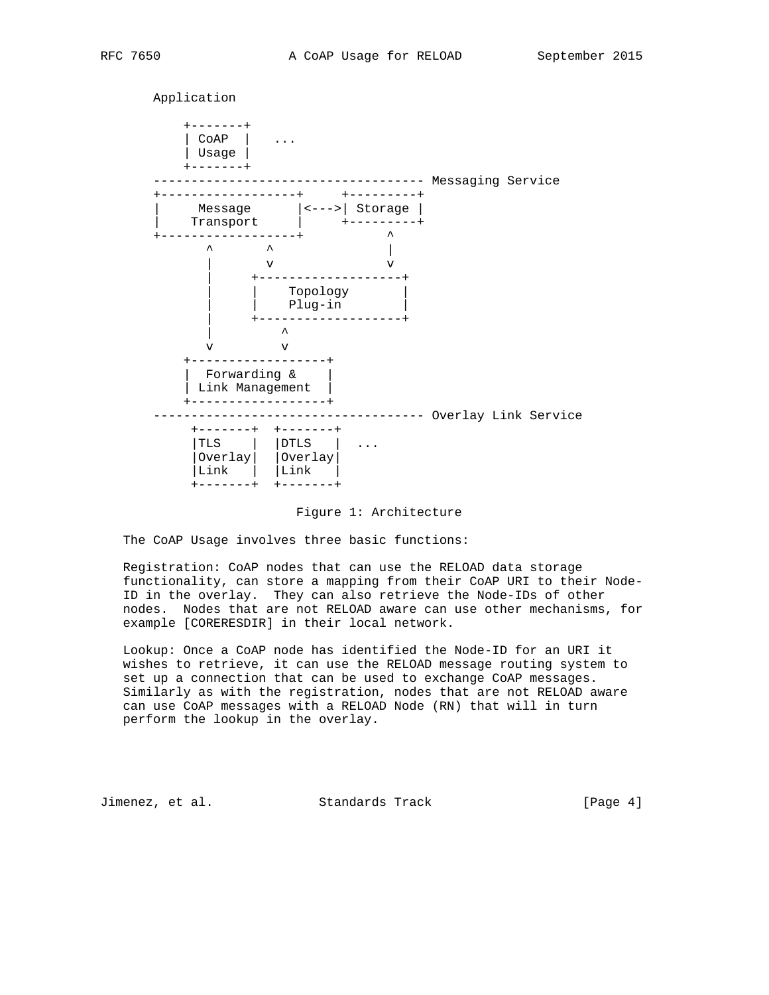Application +-------+ | CoAP | ... | Usage | +-------+ ----------------------------------- Messaging Service +------------------+ +---------+ | Message |<--->| Storage | | Transport | +---------+ +------------------+ ^ ^ ^ | | v v | +-------------------+ | | Topology | | | Plug-in | | +-------------------+ | ^ v v +------------------+ | Forwarding & | | Link Management | +------------------+ ------------------------------------ Overlay Link Service +-------+ +-------+ |TLS | |DTLS | ... |Overlay| |Overlay| |Link | |Link | +-------+ +-------+

# Figure 1: Architecture

The CoAP Usage involves three basic functions:

 Registration: CoAP nodes that can use the RELOAD data storage functionality, can store a mapping from their CoAP URI to their Node- ID in the overlay. They can also retrieve the Node-IDs of other nodes. Nodes that are not RELOAD aware can use other mechanisms, for example [CORERESDIR] in their local network.

 Lookup: Once a CoAP node has identified the Node-ID for an URI it wishes to retrieve, it can use the RELOAD message routing system to set up a connection that can be used to exchange CoAP messages. Similarly as with the registration, nodes that are not RELOAD aware can use CoAP messages with a RELOAD Node (RN) that will in turn perform the lookup in the overlay.

Jimenez, et al. Standards Track [Page 4]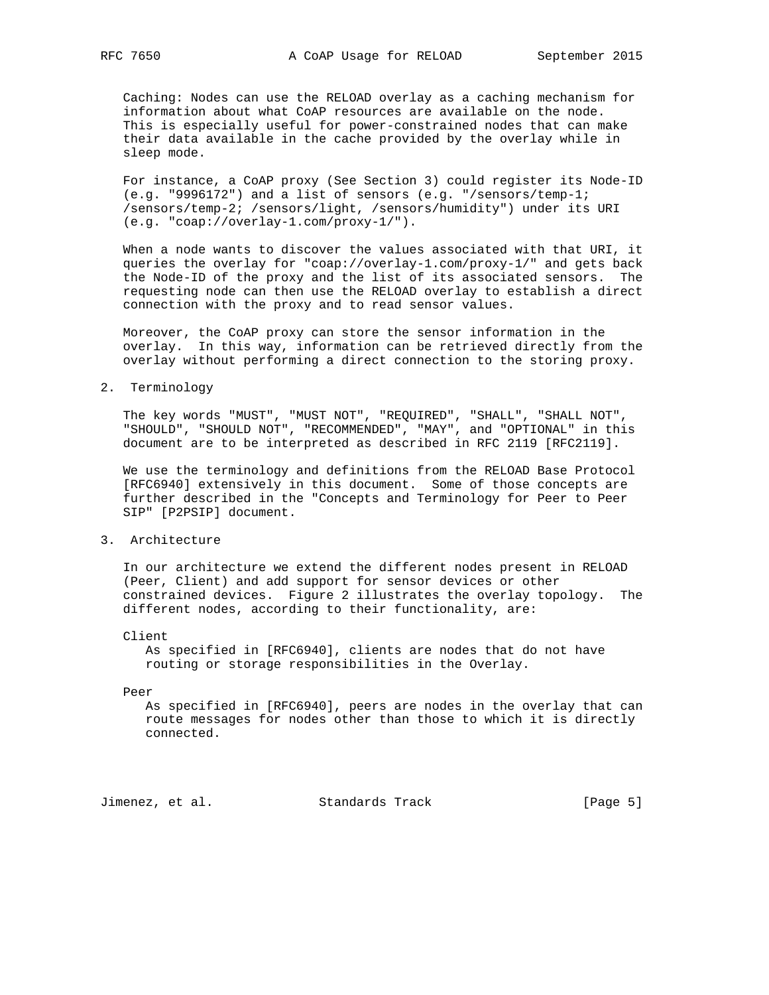Caching: Nodes can use the RELOAD overlay as a caching mechanism for information about what CoAP resources are available on the node. This is especially useful for power-constrained nodes that can make their data available in the cache provided by the overlay while in sleep mode.

 For instance, a CoAP proxy (See Section 3) could register its Node-ID (e.g. "9996172") and a list of sensors (e.g. "/sensors/temp-1; /sensors/temp-2; /sensors/light, /sensors/humidity") under its URI (e.g. "coap://overlay-1.com/proxy-1/").

 When a node wants to discover the values associated with that URI, it queries the overlay for "coap://overlay-1.com/proxy-1/" and gets back the Node-ID of the proxy and the list of its associated sensors. The requesting node can then use the RELOAD overlay to establish a direct connection with the proxy and to read sensor values.

 Moreover, the CoAP proxy can store the sensor information in the overlay. In this way, information can be retrieved directly from the overlay without performing a direct connection to the storing proxy.

## 2. Terminology

 The key words "MUST", "MUST NOT", "REQUIRED", "SHALL", "SHALL NOT", "SHOULD", "SHOULD NOT", "RECOMMENDED", "MAY", and "OPTIONAL" in this document are to be interpreted as described in RFC 2119 [RFC2119].

 We use the terminology and definitions from the RELOAD Base Protocol [RFC6940] extensively in this document. Some of those concepts are further described in the "Concepts and Terminology for Peer to Peer SIP" [P2PSIP] document.

# 3. Architecture

 In our architecture we extend the different nodes present in RELOAD (Peer, Client) and add support for sensor devices or other constrained devices. Figure 2 illustrates the overlay topology. The different nodes, according to their functionality, are:

#### Client

 As specified in [RFC6940], clients are nodes that do not have routing or storage responsibilities in the Overlay.

#### Peer

 As specified in [RFC6940], peers are nodes in the overlay that can route messages for nodes other than those to which it is directly connected.

Jimenez, et al. Standards Track [Page 5]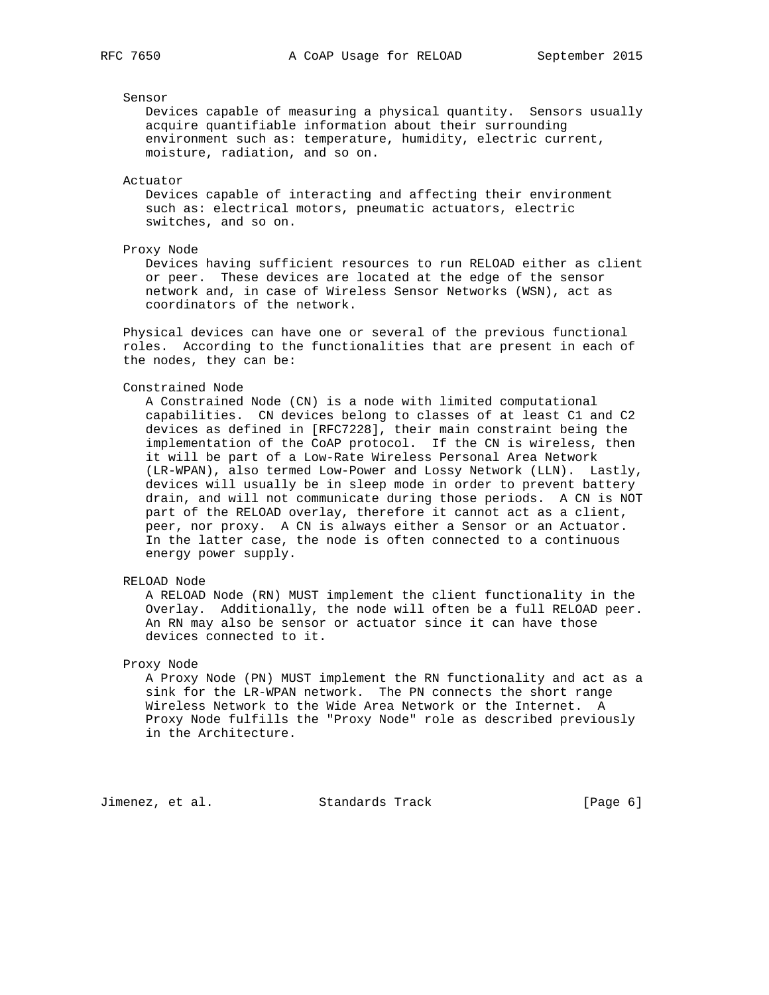## Sensor

 Devices capable of measuring a physical quantity. Sensors usually acquire quantifiable information about their surrounding environment such as: temperature, humidity, electric current, moisture, radiation, and so on.

Actuator

 Devices capable of interacting and affecting their environment such as: electrical motors, pneumatic actuators, electric switches, and so on.

## Proxy Node

 Devices having sufficient resources to run RELOAD either as client or peer. These devices are located at the edge of the sensor network and, in case of Wireless Sensor Networks (WSN), act as coordinators of the network.

 Physical devices can have one or several of the previous functional roles. According to the functionalities that are present in each of the nodes, they can be:

## Constrained Node

 A Constrained Node (CN) is a node with limited computational capabilities. CN devices belong to classes of at least C1 and C2 devices as defined in [RFC7228], their main constraint being the implementation of the CoAP protocol. If the CN is wireless, then it will be part of a Low-Rate Wireless Personal Area Network (LR-WPAN), also termed Low-Power and Lossy Network (LLN). Lastly, devices will usually be in sleep mode in order to prevent battery drain, and will not communicate during those periods. A CN is NOT part of the RELOAD overlay, therefore it cannot act as a client, peer, nor proxy. A CN is always either a Sensor or an Actuator. In the latter case, the node is often connected to a continuous energy power supply.

## RELOAD Node

 A RELOAD Node (RN) MUST implement the client functionality in the Overlay. Additionally, the node will often be a full RELOAD peer. An RN may also be sensor or actuator since it can have those devices connected to it.

#### Proxy Node

 A Proxy Node (PN) MUST implement the RN functionality and act as a sink for the LR-WPAN network. The PN connects the short range Wireless Network to the Wide Area Network or the Internet. A Proxy Node fulfills the "Proxy Node" role as described previously in the Architecture.

Jimenez, et al. Standards Track (Page 6)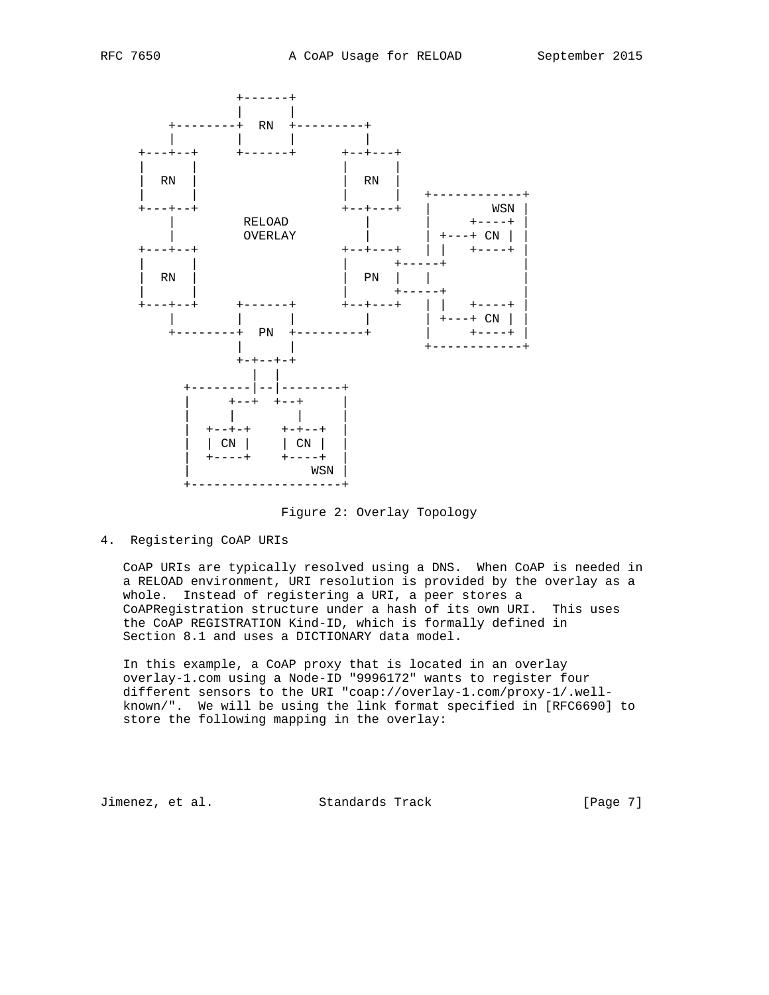

Figure 2: Overlay Topology

4. Registering CoAP URIs

 CoAP URIs are typically resolved using a DNS. When CoAP is needed in a RELOAD environment, URI resolution is provided by the overlay as a whole. Instead of registering a URI, a peer stores a CoAPRegistration structure under a hash of its own URI. This uses the CoAP REGISTRATION Kind-ID, which is formally defined in Section 8.1 and uses a DICTIONARY data model.

 In this example, a CoAP proxy that is located in an overlay overlay-1.com using a Node-ID "9996172" wants to register four different sensors to the URI "coap://overlay-1.com/proxy-1/.well known/". We will be using the link format specified in [RFC6690] to store the following mapping in the overlay:

Jimenez, et al. Standards Track [Page 7]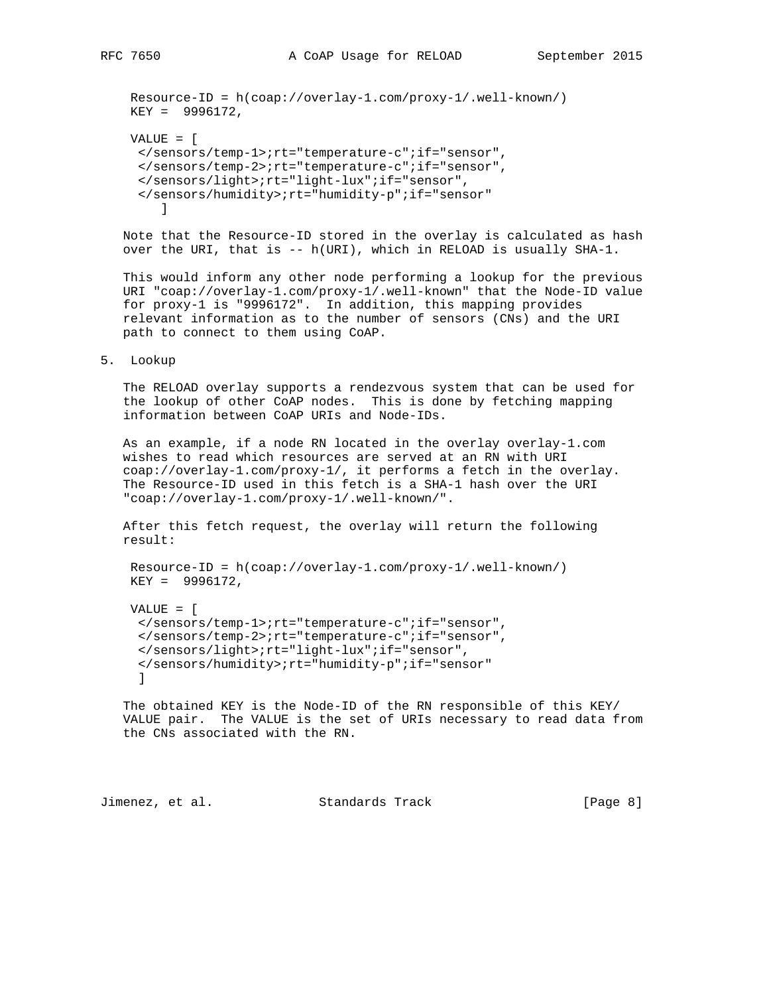Resource-ID = h(coap://overlay-1.com/proxy-1/.well-known/) KEY = 9996172,

```
 VALUE = [
     </sensors/temp-1>;rt="temperature-c";if="sensor",
     </sensors/temp-2>;rt="temperature-c";if="sensor",
     </sensors/light>;rt="light-lux";if="sensor",
     </sensors/humidity>;rt="humidity-p";if="sensor"
 ]
```
 Note that the Resource-ID stored in the overlay is calculated as hash over the URI, that is -- h(URI), which in RELOAD is usually SHA-1.

 This would inform any other node performing a lookup for the previous URI "coap://overlay-1.com/proxy-1/.well-known" that the Node-ID value for proxy-1 is "9996172". In addition, this mapping provides relevant information as to the number of sensors (CNs) and the URI path to connect to them using CoAP.

#### 5. Lookup

 The RELOAD overlay supports a rendezvous system that can be used for the lookup of other CoAP nodes. This is done by fetching mapping information between CoAP URIs and Node-IDs.

 As an example, if a node RN located in the overlay overlay-1.com wishes to read which resources are served at an RN with URI coap://overlay-1.com/proxy-1/, it performs a fetch in the overlay. The Resource-ID used in this fetch is a SHA-1 hash over the URI "coap://overlay-1.com/proxy-1/.well-known/".

 After this fetch request, the overlay will return the following result:

```
 Resource-ID = h(coap://overlay-1.com/proxy-1/.well-known/)
 KEY = 9996172,
```

```
 VALUE = [
  </sensors/temp-1>;rt="temperature-c";if="sensor",
  </sensors/temp-2>;rt="temperature-c";if="sensor",
  </sensors/light>;rt="light-lux";if="sensor",
  </sensors/humidity>;rt="humidity-p";if="sensor"
  ]
```
 The obtained KEY is the Node-ID of the RN responsible of this KEY/ VALUE pair. The VALUE is the set of URIs necessary to read data from the CNs associated with the RN.

Jimenez, et al. Standards Track [Page 8]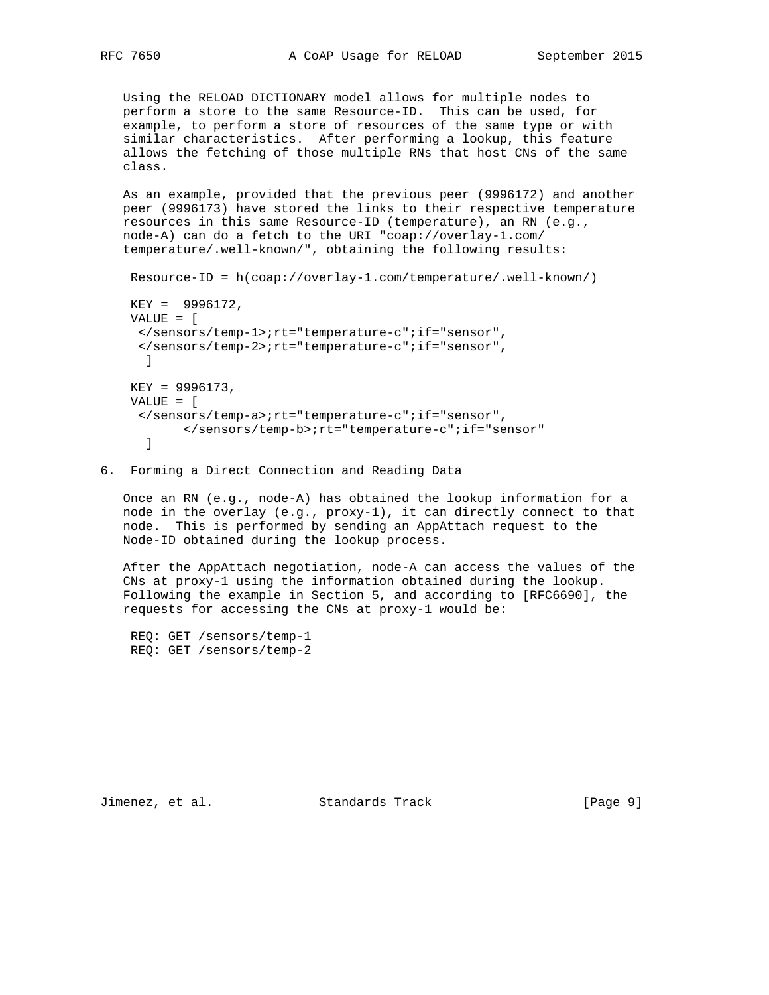Using the RELOAD DICTIONARY model allows for multiple nodes to perform a store to the same Resource-ID. This can be used, for example, to perform a store of resources of the same type or with similar characteristics. After performing a lookup, this feature allows the fetching of those multiple RNs that host CNs of the same class.

 As an example, provided that the previous peer (9996172) and another peer (9996173) have stored the links to their respective temperature resources in this same Resource-ID (temperature), an RN (e.g., node-A) can do a fetch to the URI "coap://overlay-1.com/ temperature/.well-known/", obtaining the following results:

```
 Resource-ID = h(coap://overlay-1.com/temperature/.well-known/)
 KEY = 9996172,
 VALUE = [
  </sensors/temp-1>;rt="temperature-c";if="sensor",
  </sensors/temp-2>;rt="temperature-c";if="sensor",
 \BoxKEY = 9996173, VALUE = [
  </sensors/temp-a>;rt="temperature-c";if="sensor",
        </sensors/temp-b>;rt="temperature-c";if="sensor"
   ]
```
## 6. Forming a Direct Connection and Reading Data

 Once an RN (e.g., node-A) has obtained the lookup information for a node in the overlay (e.g., proxy-1), it can directly connect to that node. This is performed by sending an AppAttach request to the Node-ID obtained during the lookup process.

 After the AppAttach negotiation, node-A can access the values of the CNs at proxy-1 using the information obtained during the lookup. Following the example in Section 5, and according to [RFC6690], the requests for accessing the CNs at proxy-1 would be:

 REQ: GET /sensors/temp-1 REQ: GET /sensors/temp-2

Jimenez, et al. Standards Track [Page 9]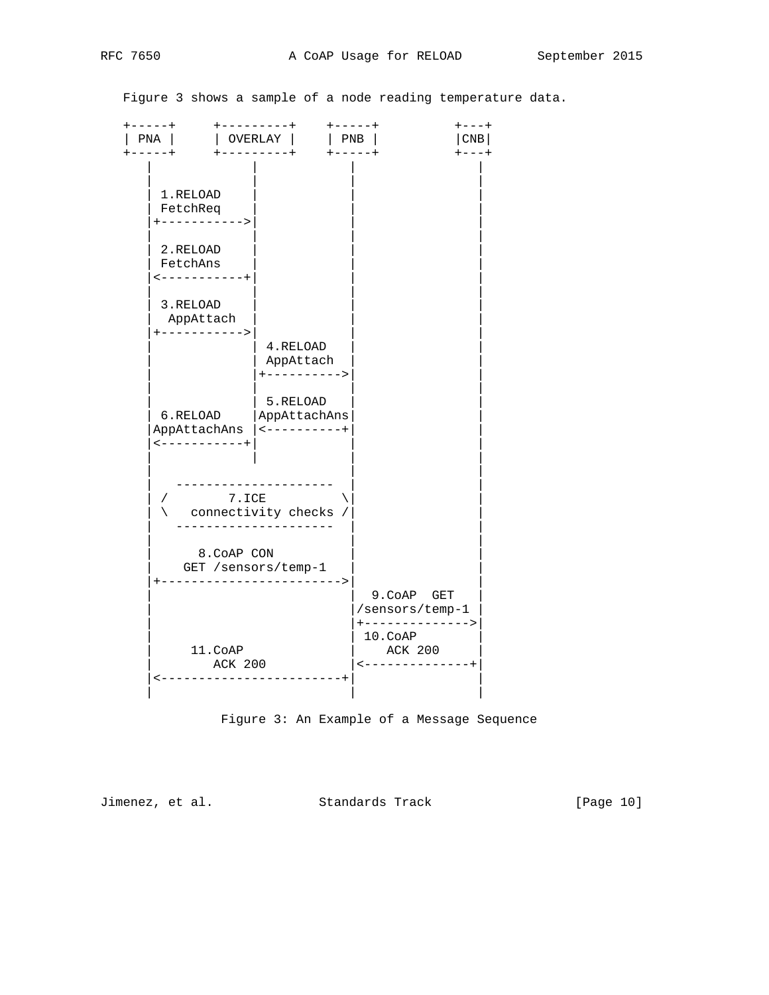Figure 3 shows a sample of a node reading temperature data.

| $---+$<br>PNA  <br>$+ - - - - - - - - +$<br>$----+$                                                                                         | .<br>----<br>$ $ PNB<br>  OVERLAY                                       | <b>CNB</b><br>$+ - - - - +$                                                                                         |
|---------------------------------------------------------------------------------------------------------------------------------------------|-------------------------------------------------------------------------|---------------------------------------------------------------------------------------------------------------------|
| 1.RELOAD<br>FetchReq<br>+-----------><br>2.RELOAD<br>FetchAns<br>$\leftarrow$ - - - - - - - - - +<br>3.RELOAD<br>AppAttach<br>+-----------> | 4.RELOAD                                                                |                                                                                                                     |
| 6.RELOAD<br>AppAttachAns<br>$\leftarrow$ - - - - - - - - - - +                                                                              | AppAttach<br>+----------><br>5.RELOAD<br>AppAttachAns<br>  <----------+ |                                                                                                                     |
| 7.ICE                                                                                                                                       | connectivity checks /                                                   |                                                                                                                     |
| 8. COAP CON<br>GET /sensors/temp-1                                                                                                          | -------------------->                                                   |                                                                                                                     |
| 11.CoAP<br><b>ACK 200</b>                                                                                                                   |                                                                         | 9. COAP GET<br>/sensors/temp-1<br>+-------------><br>$10. \texttt{CoAP}$<br>ACK 200<br>$\leftarrow$ - - - - - - - - |



Jimenez, et al. Standards Track [Page 10]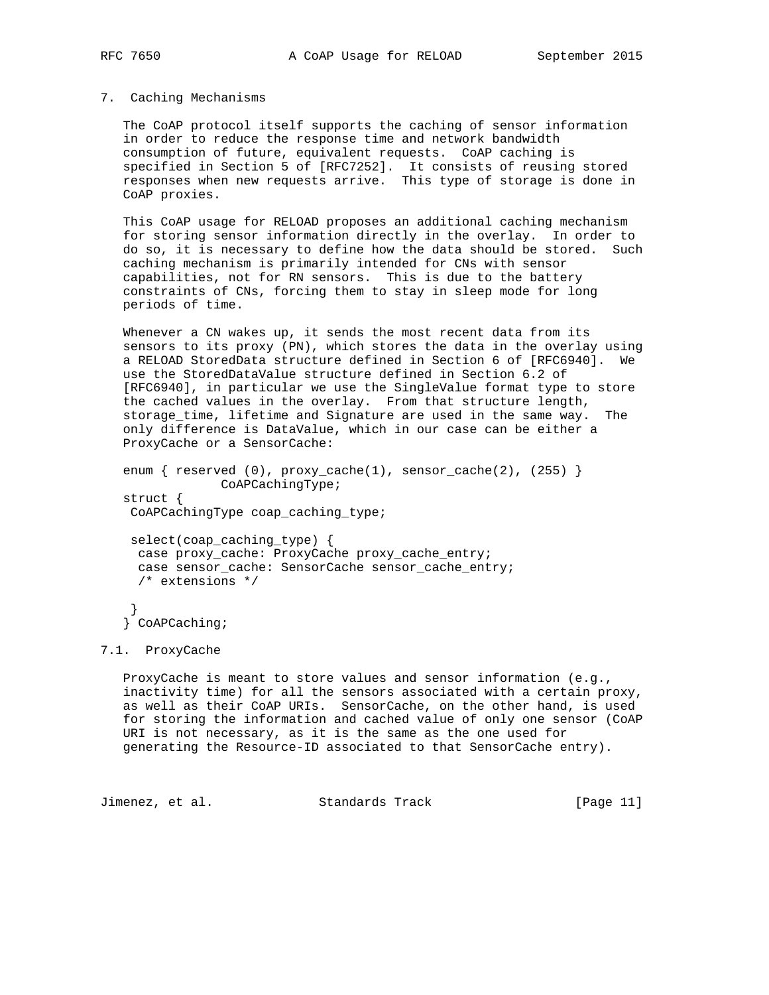## 7. Caching Mechanisms

 The CoAP protocol itself supports the caching of sensor information in order to reduce the response time and network bandwidth consumption of future, equivalent requests. CoAP caching is specified in Section 5 of [RFC7252]. It consists of reusing stored responses when new requests arrive. This type of storage is done in CoAP proxies.

 This CoAP usage for RELOAD proposes an additional caching mechanism for storing sensor information directly in the overlay. In order to do so, it is necessary to define how the data should be stored. Such caching mechanism is primarily intended for CNs with sensor capabilities, not for RN sensors. This is due to the battery constraints of CNs, forcing them to stay in sleep mode for long periods of time.

Whenever a CN wakes up, it sends the most recent data from its sensors to its proxy (PN), which stores the data in the overlay using a RELOAD StoredData structure defined in Section 6 of [RFC6940]. We use the StoredDataValue structure defined in Section 6.2 of [RFC6940], in particular we use the SingleValue format type to store the cached values in the overlay. From that structure length, storage\_time, lifetime and Signature are used in the same way. The only difference is DataValue, which in our case can be either a ProxyCache or a SensorCache:

enum { reserved  $(0)$ ,  $prox_{\text{cache}}(1)$ , sensor\_cache $(2)$ ,  $(255)$  } CoAPCachingType; struct { CoAPCachingType coap\_caching\_type;

 select(coap\_caching\_type) { case proxy\_cache: ProxyCache proxy\_cache\_entry; case sensor\_cache: SensorCache sensor\_cache\_entry; /\* extensions \*/

 } } CoAPCaching;

## 7.1. ProxyCache

 ProxyCache is meant to store values and sensor information (e.g., inactivity time) for all the sensors associated with a certain proxy, as well as their CoAP URIs. SensorCache, on the other hand, is used for storing the information and cached value of only one sensor (CoAP URI is not necessary, as it is the same as the one used for generating the Resource-ID associated to that SensorCache entry).

Jimenez, et al. Standards Track [Page 11]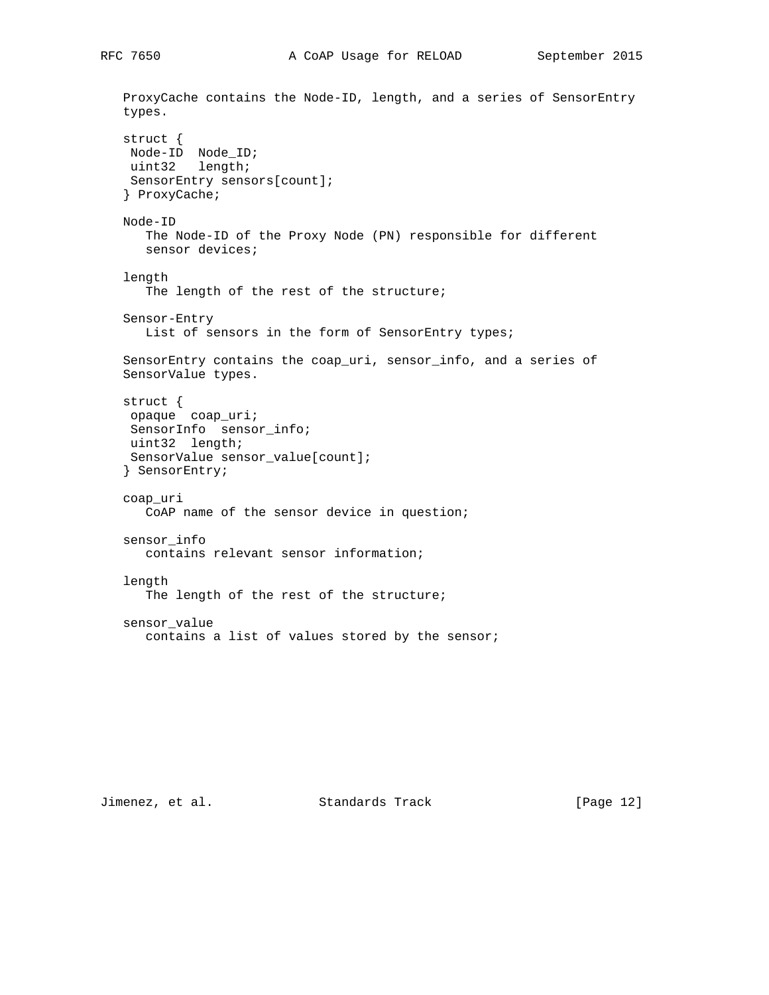```
 ProxyCache contains the Node-ID, length, and a series of SensorEntry
 types.
 struct {
 Node-ID Node_ID;
 uint32 length;
 SensorEntry sensors[count];
 } ProxyCache;
 Node-ID
    The Node-ID of the Proxy Node (PN) responsible for different
    sensor devices;
 length
    The length of the rest of the structure;
 Sensor-Entry
  List of sensors in the form of SensorEntry types;
 SensorEntry contains the coap_uri, sensor_info, and a series of
 SensorValue types.
 struct {
 opaque coap_uri;
 SensorInfo sensor_info;
 uint32 length;
 SensorValue sensor_value[count];
 } SensorEntry;
 coap_uri
   CoAP name of the sensor device in question;
 sensor_info
    contains relevant sensor information;
 length
    The length of the rest of the structure;
 sensor_value
    contains a list of values stored by the sensor;
```
Jimenez, et al. Standards Track [Page 12]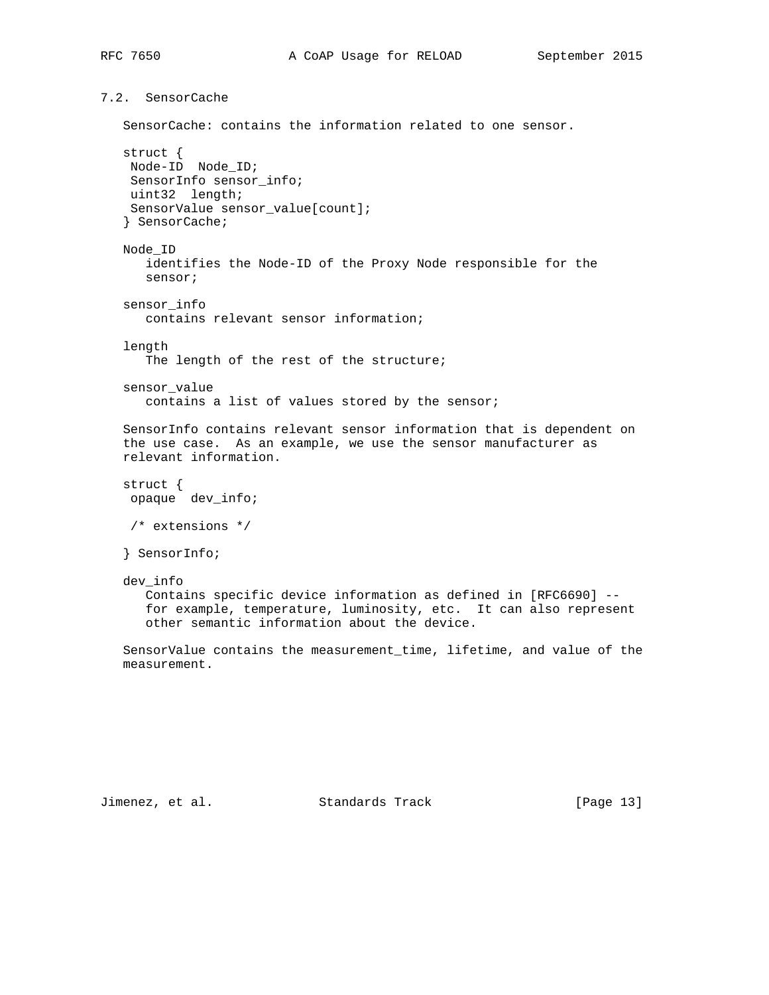7.2. SensorCache

SensorCache: contains the information related to one sensor.

```
 struct {
 Node-ID Node_ID;
 SensorInfo sensor_info;
 uint32 length;
 SensorValue sensor_value[count];
 } SensorCache;
 Node_ID
    identifies the Node-ID of the Proxy Node responsible for the
    sensor;
 sensor_info
    contains relevant sensor information;
 length
   The length of the rest of the structure;
sensor value
    contains a list of values stored by the sensor;
 SensorInfo contains relevant sensor information that is dependent on
 the use case. As an example, we use the sensor manufacturer as
 relevant information.
 struct {
 opaque dev_info;
 /* extensions */
 } SensorInfo;
 dev_info
    Contains specific device information as defined in [RFC6690] --
    for example, temperature, luminosity, etc. It can also represent
    other semantic information about the device.
 SensorValue contains the measurement_time, lifetime, and value of the
 measurement.
```
Jimenez, et al. Standards Track [Page 13]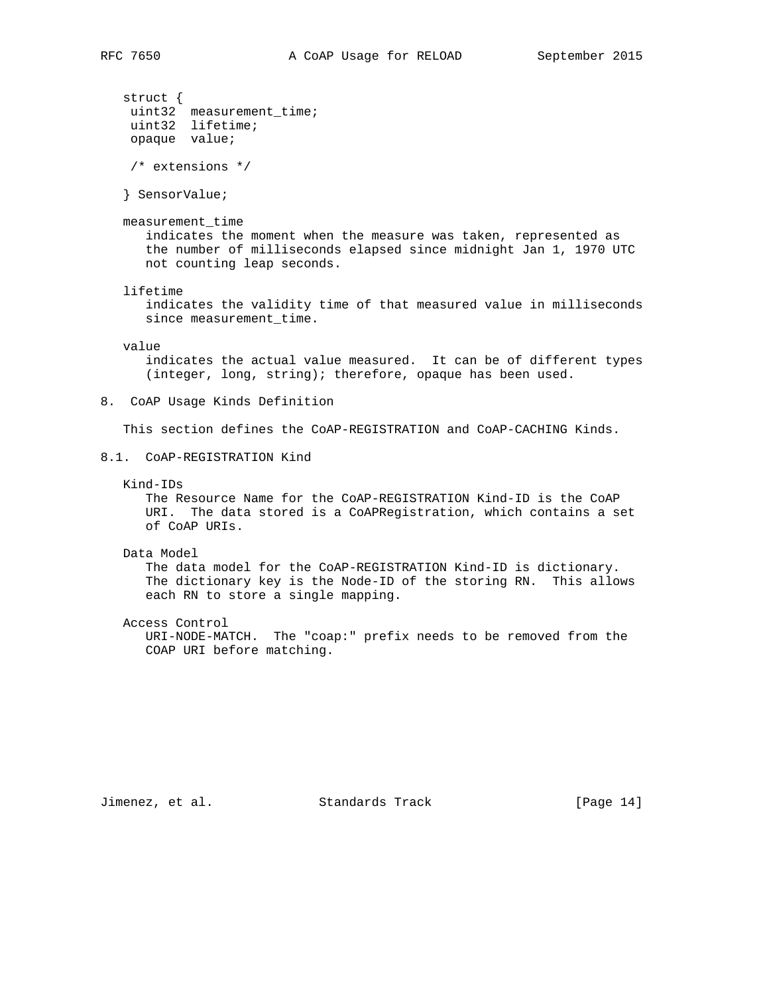```
 struct {
 uint32 measurement_time;
 uint32 lifetime;
    opaque value;
    /* extensions */
    } SensorValue;
   measurement_time
      indicates the moment when the measure was taken, represented as
       the number of milliseconds elapsed since midnight Jan 1, 1970 UTC
      not counting leap seconds.
    lifetime
       indicates the validity time of that measured value in milliseconds
      since measurement_time.
   value
       indicates the actual value measured. It can be of different types
       (integer, long, string); therefore, opaque has been used.
8. CoAP Usage Kinds Definition
   This section defines the CoAP-REGISTRATION and CoAP-CACHING Kinds.
8.1. CoAP-REGISTRATION Kind
   Kind-IDs
      The Resource Name for the CoAP-REGISTRATION Kind-ID is the CoAP
      URI. The data stored is a CoAPRegistration, which contains a set
      of CoAP URIs.
   Data Model
       The data model for the CoAP-REGISTRATION Kind-ID is dictionary.
       The dictionary key is the Node-ID of the storing RN. This allows
       each RN to store a single mapping.
   Access Control
      URI-NODE-MATCH. The "coap:" prefix needs to be removed from the
      COAP URI before matching.
```
Jimenez, et al. Standards Track [Page 14]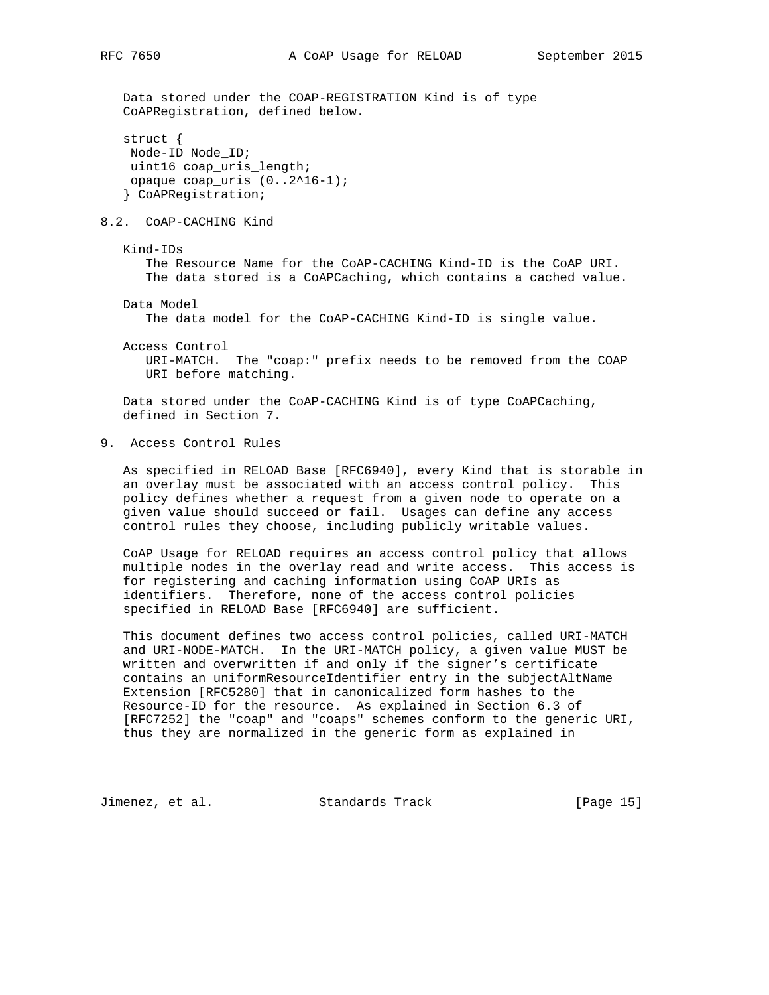Data stored under the COAP-REGISTRATION Kind is of type CoAPRegistration, defined below.

```
 struct {
 Node-ID Node_ID;
 uint16 coap_uris_length;
 opaque coap_uris (0..2^16-1);
 } CoAPRegistration;
```
## 8.2. CoAP-CACHING Kind

 Kind-IDs The Resource Name for the CoAP-CACHING Kind-ID is the CoAP URI. The data stored is a CoAPCaching, which contains a cached value.

Data Model

The data model for the CoAP-CACHING Kind-ID is single value.

 Access Control URI-MATCH. The "coap:" prefix needs to be removed from the COAP URI before matching.

 Data stored under the CoAP-CACHING Kind is of type CoAPCaching, defined in Section 7.

9. Access Control Rules

 As specified in RELOAD Base [RFC6940], every Kind that is storable in an overlay must be associated with an access control policy. This policy defines whether a request from a given node to operate on a given value should succeed or fail. Usages can define any access control rules they choose, including publicly writable values.

 CoAP Usage for RELOAD requires an access control policy that allows multiple nodes in the overlay read and write access. This access is for registering and caching information using CoAP URIs as identifiers. Therefore, none of the access control policies specified in RELOAD Base [RFC6940] are sufficient.

 This document defines two access control policies, called URI-MATCH and URI-NODE-MATCH. In the URI-MATCH policy, a given value MUST be written and overwritten if and only if the signer's certificate contains an uniformResourceIdentifier entry in the subjectAltName Extension [RFC5280] that in canonicalized form hashes to the Resource-ID for the resource. As explained in Section 6.3 of [RFC7252] the "coap" and "coaps" schemes conform to the generic URI, thus they are normalized in the generic form as explained in

Jimenez, et al. Standards Track [Page 15]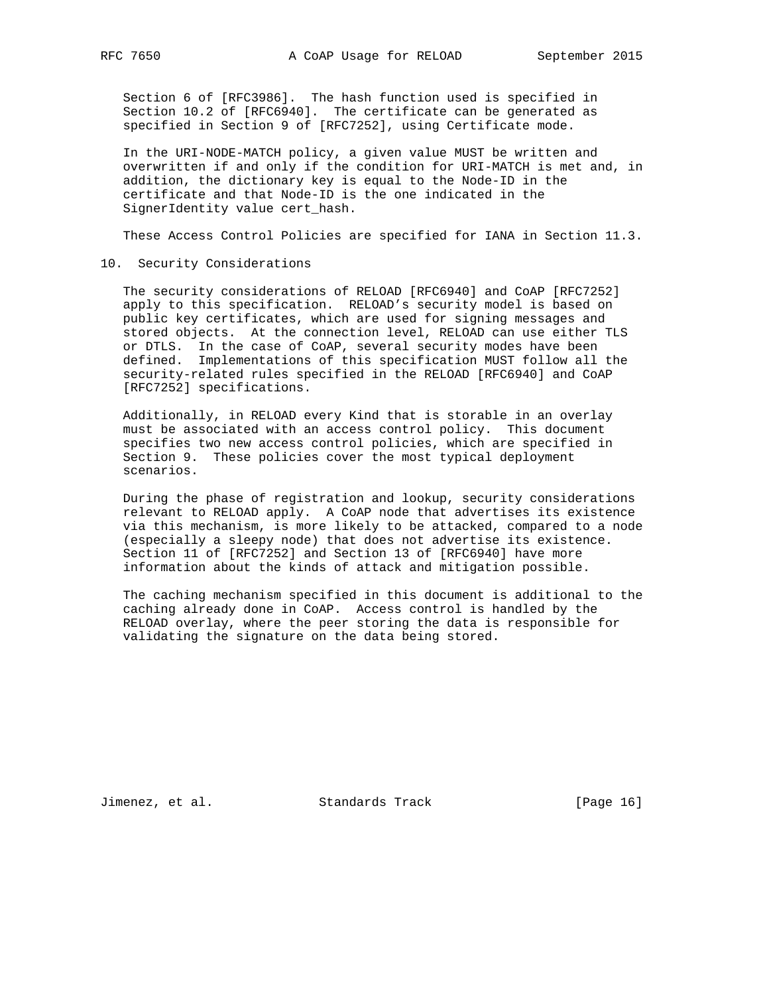Section 6 of [RFC3986]. The hash function used is specified in Section 10.2 of [RFC6940]. The certificate can be generated as specified in Section 9 of [RFC7252], using Certificate mode.

 In the URI-NODE-MATCH policy, a given value MUST be written and overwritten if and only if the condition for URI-MATCH is met and, in addition, the dictionary key is equal to the Node-ID in the certificate and that Node-ID is the one indicated in the SignerIdentity value cert\_hash.

These Access Control Policies are specified for IANA in Section 11.3.

## 10. Security Considerations

 The security considerations of RELOAD [RFC6940] and CoAP [RFC7252] apply to this specification. RELOAD's security model is based on public key certificates, which are used for signing messages and stored objects. At the connection level, RELOAD can use either TLS or DTLS. In the case of CoAP, several security modes have been defined. Implementations of this specification MUST follow all the security-related rules specified in the RELOAD [RFC6940] and CoAP [RFC7252] specifications.

 Additionally, in RELOAD every Kind that is storable in an overlay must be associated with an access control policy. This document specifies two new access control policies, which are specified in Section 9. These policies cover the most typical deployment scenarios.

 During the phase of registration and lookup, security considerations relevant to RELOAD apply. A CoAP node that advertises its existence via this mechanism, is more likely to be attacked, compared to a node (especially a sleepy node) that does not advertise its existence. Section 11 of [RFC7252] and Section 13 of [RFC6940] have more information about the kinds of attack and mitigation possible.

 The caching mechanism specified in this document is additional to the caching already done in CoAP. Access control is handled by the RELOAD overlay, where the peer storing the data is responsible for validating the signature on the data being stored.

Jimenez, et al. Standards Track [Page 16]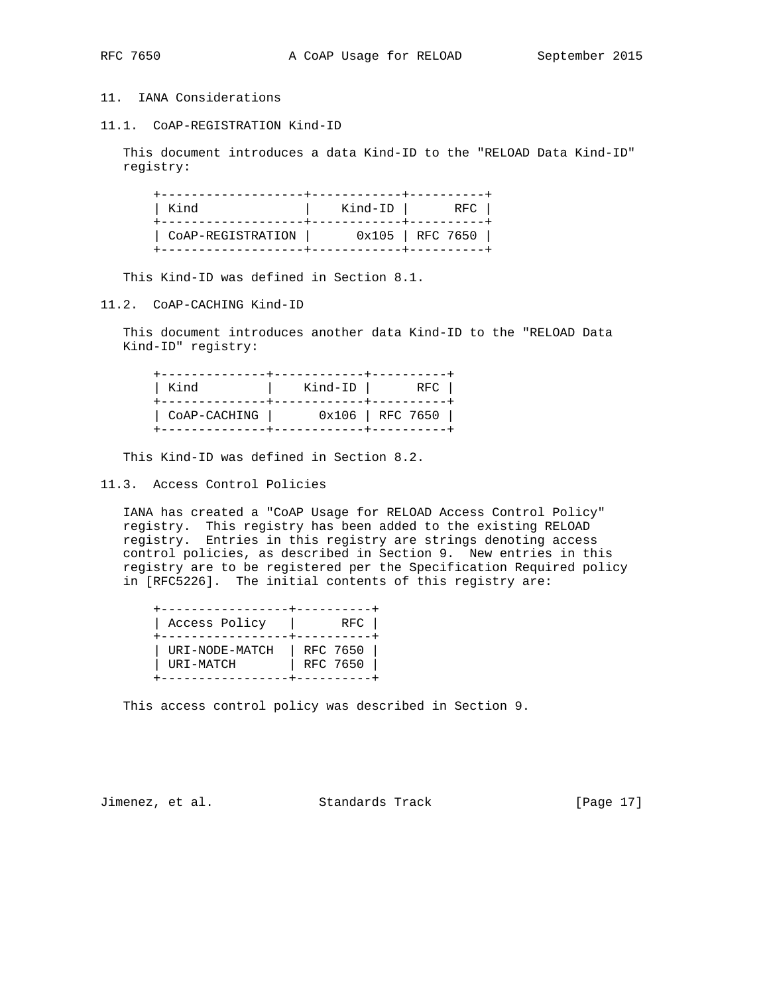# 11. IANA Considerations

11.1. CoAP-REGISTRATION Kind-ID

 This document introduces a data Kind-ID to the "RELOAD Data Kind-ID" registry:

| Kind              | Kind-ID | RFC                |
|-------------------|---------|--------------------|
| CoAP-REGISTRATION |         | $0x105$   RFC 7650 |

This Kind-ID was defined in Section 8.1.

11.2. CoAP-CACHING Kind-ID

 This document introduces another data Kind-ID to the "RELOAD Data Kind-ID" registry:

| Kind         | Kind-ID | RFC                |
|--------------|---------|--------------------|
| COAP-CACHING |         | $0x106$   RFC 7650 |

This Kind-ID was defined in Section 8.2.

11.3. Access Control Policies

 IANA has created a "CoAP Usage for RELOAD Access Control Policy" registry. This registry has been added to the existing RELOAD registry. Entries in this registry are strings denoting access control policies, as described in Section 9. New entries in this registry are to be registered per the Specification Required policy in [RFC5226]. The initial contents of this registry are:

| Access Policy               | RFC                  |
|-----------------------------|----------------------|
| URI-NODE-MATCH<br>URI-MATCH | RFC 7650<br>RFC 7650 |

This access control policy was described in Section 9.

Jimenez, et al. Standards Track [Page 17]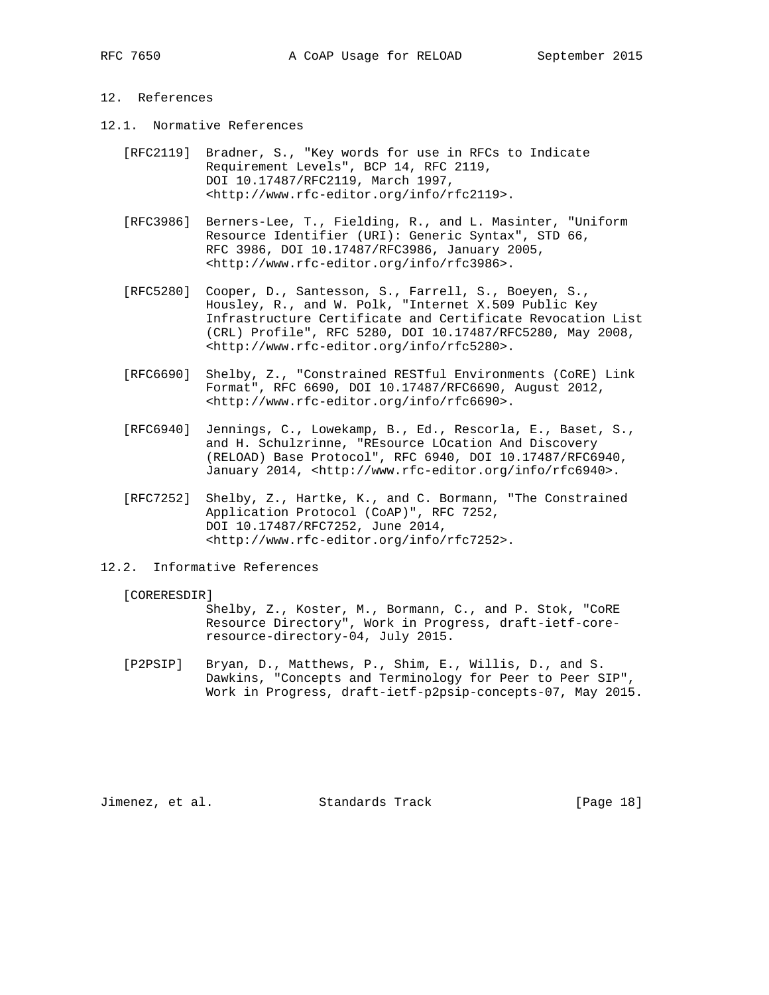# 12. References

- 12.1. Normative References
	- [RFC2119] Bradner, S., "Key words for use in RFCs to Indicate Requirement Levels", BCP 14, RFC 2119, DOI 10.17487/RFC2119, March 1997, <http://www.rfc-editor.org/info/rfc2119>.
	- [RFC3986] Berners-Lee, T., Fielding, R., and L. Masinter, "Uniform Resource Identifier (URI): Generic Syntax", STD 66, RFC 3986, DOI 10.17487/RFC3986, January 2005, <http://www.rfc-editor.org/info/rfc3986>.
	- [RFC5280] Cooper, D., Santesson, S., Farrell, S., Boeyen, S., Housley, R., and W. Polk, "Internet X.509 Public Key Infrastructure Certificate and Certificate Revocation List (CRL) Profile", RFC 5280, DOI 10.17487/RFC5280, May 2008, <http://www.rfc-editor.org/info/rfc5280>.
	- [RFC6690] Shelby, Z., "Constrained RESTful Environments (CoRE) Link Format", RFC 6690, DOI 10.17487/RFC6690, August 2012, <http://www.rfc-editor.org/info/rfc6690>.
	- [RFC6940] Jennings, C., Lowekamp, B., Ed., Rescorla, E., Baset, S., and H. Schulzrinne, "REsource LOcation And Discovery (RELOAD) Base Protocol", RFC 6940, DOI 10.17487/RFC6940, January 2014, <http://www.rfc-editor.org/info/rfc6940>.
	- [RFC7252] Shelby, Z., Hartke, K., and C. Bormann, "The Constrained Application Protocol (CoAP)", RFC 7252, DOI 10.17487/RFC7252, June 2014, <http://www.rfc-editor.org/info/rfc7252>.

## 12.2. Informative References

## [CORERESDIR]

 Shelby, Z., Koster, M., Bormann, C., and P. Stok, "CoRE Resource Directory", Work in Progress, draft-ietf-core resource-directory-04, July 2015.

 [P2PSIP] Bryan, D., Matthews, P., Shim, E., Willis, D., and S. Dawkins, "Concepts and Terminology for Peer to Peer SIP", Work in Progress, draft-ietf-p2psip-concepts-07, May 2015.

Jimenez, et al. Standards Track [Page 18]